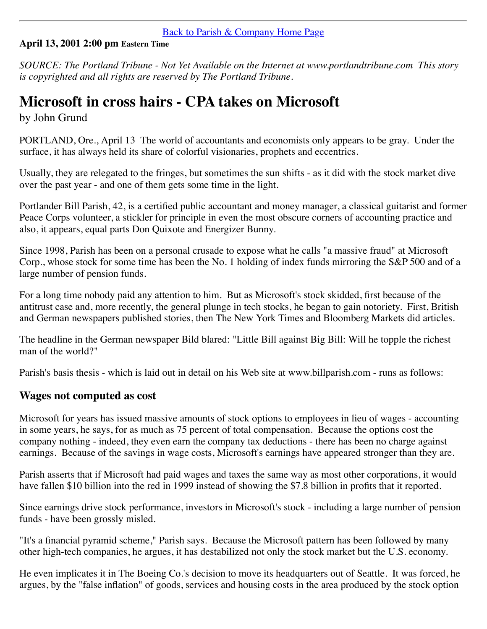#### [Back to Parish & Company Home Page](http://billparish.com/index.html)

### **April 13, 2001 2:00 pm Eastern Time**

*SOURCE: The Portland Tribune - Not Yet Available on the Internet at www.portlandtribune.com This story is copyrighted and all rights are reserved by The Portland Tribune.*

# **Microsoft in cross hairs - CPA takes on Microsoft**

by John Grund

PORTLAND, Ore., April 13 The world of accountants and economists only appears to be gray. Under the surface, it has always held its share of colorful visionaries, prophets and eccentrics.

Usually, they are relegated to the fringes, but sometimes the sun shifts - as it did with the stock market dive over the past year - and one of them gets some time in the light.

Portlander Bill Parish, 42, is a certified public accountant and money manager, a classical guitarist and former Peace Corps volunteer, a stickler for principle in even the most obscure corners of accounting practice and also, it appears, equal parts Don Quixote and Energizer Bunny.

Since 1998, Parish has been on a personal crusade to expose what he calls "a massive fraud" at Microsoft Corp., whose stock for some time has been the No. 1 holding of index funds mirroring the S&P 500 and of a large number of pension funds.

For a long time nobody paid any attention to him. But as Microsoft's stock skidded, first because of the antitrust case and, more recently, the general plunge in tech stocks, he began to gain notoriety. First, British and German newspapers published stories, then The New York Times and Bloomberg Markets did articles.

The headline in the German newspaper Bild blared: "Little Bill against Big Bill: Will he topple the richest man of the world?"

Parish's basis thesis - which is laid out in detail on his Web site at www.billparish.com - runs as follows:

## **Wages not computed as cost**

Microsoft for years has issued massive amounts of stock options to employees in lieu of wages - accounting in some years, he says, for as much as 75 percent of total compensation. Because the options cost the company nothing - indeed, they even earn the company tax deductions - there has been no charge against earnings. Because of the savings in wage costs, Microsoft's earnings have appeared stronger than they are.

Parish asserts that if Microsoft had paid wages and taxes the same way as most other corporations, it would have fallen \$10 billion into the red in 1999 instead of showing the \$7.8 billion in profits that it reported.

Since earnings drive stock performance, investors in Microsoft's stock - including a large number of pension funds - have been grossly misled.

"It's a financial pyramid scheme," Parish says. Because the Microsoft pattern has been followed by many other high-tech companies, he argues, it has destabilized not only the stock market but the U.S. economy.

He even implicates it in The Boeing Co.'s decision to move its headquarters out of Seattle. It was forced, he argues, by the "false inflation" of goods, services and housing costs in the area produced by the stock option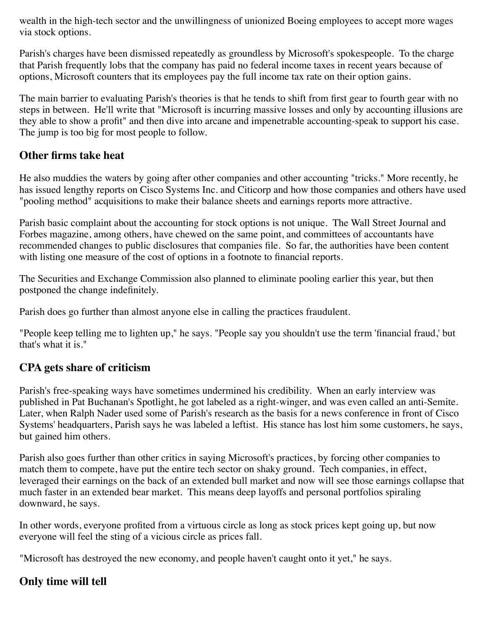wealth in the high-tech sector and the unwillingness of unionized Boeing employees to accept more wages via stock options.

Parish's charges have been dismissed repeatedly as groundless by Microsoft's spokespeople. To the charge that Parish frequently lobs that the company has paid no federal income taxes in recent years because of options, Microsoft counters that its employees pay the full income tax rate on their option gains.

The main barrier to evaluating Parish's theories is that he tends to shift from first gear to fourth gear with no steps in between. He'll write that "Microsoft is incurring massive losses and only by accounting illusions are they able to show a profit" and then dive into arcane and impenetrable accounting-speak to support his case. The jump is too big for most people to follow.

## **Other firms take heat**

He also muddies the waters by going after other companies and other accounting "tricks." More recently, he has issued lengthy reports on Cisco Systems Inc. and Citicorp and how those companies and others have used "pooling method" acquisitions to make their balance sheets and earnings reports more attractive.

Parish basic complaint about the accounting for stock options is not unique. The Wall Street Journal and Forbes magazine, among others, have chewed on the same point, and committees of accountants have recommended changes to public disclosures that companies file. So far, the authorities have been content with listing one measure of the cost of options in a footnote to financial reports.

The Securities and Exchange Commission also planned to eliminate pooling earlier this year, but then postponed the change indefinitely.

Parish does go further than almost anyone else in calling the practices fraudulent.

"People keep telling me to lighten up," he says. "People say you shouldn't use the term 'financial fraud,' but that's what it is."

# **CPA gets share of criticism**

Parish's free-speaking ways have sometimes undermined his credibility. When an early interview was published in Pat Buchanan's Spotlight, he got labeled as a right-winger, and was even called an anti-Semite. Later, when Ralph Nader used some of Parish's research as the basis for a news conference in front of Cisco Systems' headquarters, Parish says he was labeled a leftist. His stance has lost him some customers, he says, but gained him others.

Parish also goes further than other critics in saying Microsoft's practices, by forcing other companies to match them to compete, have put the entire tech sector on shaky ground. Tech companies, in effect, leveraged their earnings on the back of an extended bull market and now will see those earnings collapse that much faster in an extended bear market. This means deep layoffs and personal portfolios spiraling downward, he says.

In other words, everyone profited from a virtuous circle as long as stock prices kept going up, but now everyone will feel the sting of a vicious circle as prices fall.

"Microsoft has destroyed the new economy, and people haven't caught onto it yet," he says.

## **Only time will tell**